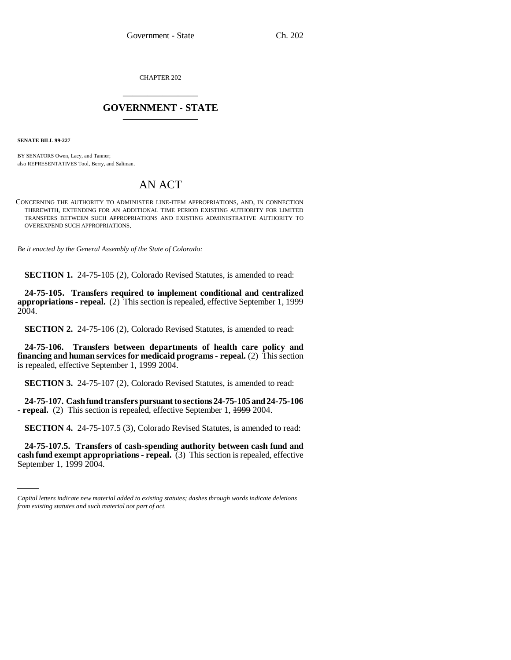CHAPTER 202 \_\_\_\_\_\_\_\_\_\_\_\_\_\_\_

## **GOVERNMENT - STATE** \_\_\_\_\_\_\_\_\_\_\_\_\_\_\_

**SENATE BILL 99-227**

BY SENATORS Owen, Lacy, and Tanner; also REPRESENTATIVES Tool, Berry, and Saliman.

## AN ACT

CONCERNING THE AUTHORITY TO ADMINISTER LINE-ITEM APPROPRIATIONS, AND, IN CONNECTION THEREWITH, EXTENDING FOR AN ADDITIONAL TIME PERIOD EXISTING AUTHORITY FOR LIMITED TRANSFERS BETWEEN SUCH APPROPRIATIONS AND EXISTING ADMINISTRATIVE AUTHORITY TO OVEREXPEND SUCH APPROPRIATIONS.

*Be it enacted by the General Assembly of the State of Colorado:*

**SECTION 1.** 24-75-105 (2), Colorado Revised Statutes, is amended to read:

**24-75-105. Transfers required to implement conditional and centralized appropriations - repeal.** (2) This section is repealed, effective September 1, 1999 2004.

**SECTION 2.** 24-75-106 (2), Colorado Revised Statutes, is amended to read:

**24-75-106. Transfers between departments of health care policy and financing and human services for medicaid programs - repeal.** (2) This section is repealed, effective September 1, 1999 2004.

**SECTION 3.** 24-75-107 (2), Colorado Revised Statutes, is amended to read:

**24-75-107. Cash fund transfers pursuant to sections 24-75-105 and 24-75-106 - repeal.** (2) This section is repealed, effective September 1, 1999 2004.

**SECTION 4.** 24-75-107.5 (3), Colorado Revised Statutes, is amended to read:

 **24-75-107.5. Transfers of cash-spending authority between cash fund and cash fund exempt appropriations - repeal.** (3) This section is repealed, effective September 1, 1999 2004.

*Capital letters indicate new material added to existing statutes; dashes through words indicate deletions from existing statutes and such material not part of act.*